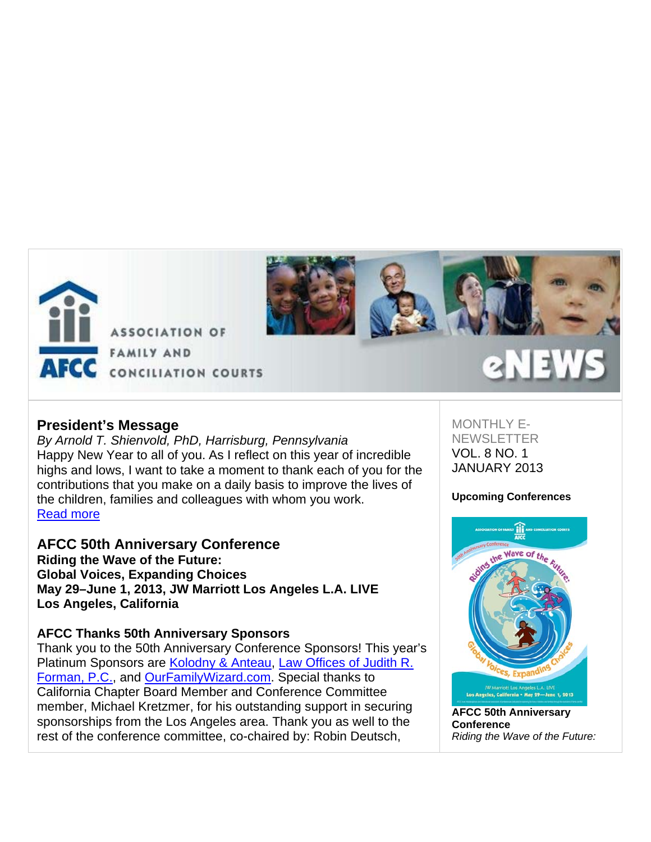



# **President's Message**

*By Arnold T. Shienvold, PhD, Harrisburg, Pennsylvania* Happy New Year to all of you. As I reflect on this year of incredible highs and lows, I want to take a moment to thank each of you for the contributions that you make on a daily basis to improve the lives of the children, families and colleagues with whom you work. Read more

**AFCC 50th Anniversary Conference Riding the Wave of the Future: Global Voices, Expanding Choices May 29–June 1, 2013, JW Marriott Los Angeles L.A. LIVE Los Angeles, California**

# **AFCC Thanks 50th Anniversary Sponsors**

Thank you to the 50th Anniversary Conference Sponsors! This year's Platinum Sponsors are Kolodny & Anteau, Law Offices of Judith R. Forman, P.C., and OurFamilyWizard.com. Special thanks to California Chapter Board Member and Conference Committee member, Michael Kretzmer, for his outstanding support in securing sponsorships from the Los Angeles area. Thank you as well to the rest of the conference committee, co-chaired by: Robin Deutsch,

MONTHI Y F-**NEWSLETTER** VOL. 8 NO. 1 JANUARY 2013

### **Upcoming Conferences**



**AFCC 50th Anniversary Conference** *Riding the Wave of the Future:*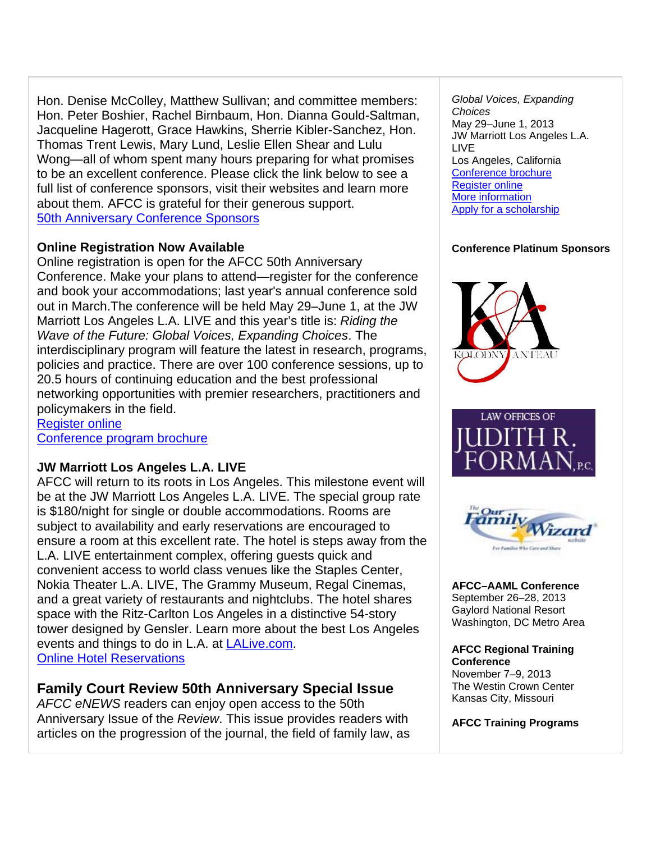Hon. Denise McColley, Matthew Sullivan; and committee members: Hon. Peter Boshier, Rachel Birnbaum, Hon. Dianna Gould-Saltman, Jacqueline Hagerott, Grace Hawkins, Sherrie Kibler-Sanchez, Hon. Thomas Trent Lewis, Mary Lund, Leslie Ellen Shear and Lulu Wong—all of whom spent many hours preparing for what promises to be an excellent conference. Please click the link below to see a full list of conference sponsors, visit their websites and learn more about them. AFCC is grateful for their generous support. 50th Anniversary Conference Sponsors

# **Online Registration Now Available**

Online registration is open for the AFCC 50th Anniversary Conference. Make your plans to attend—register for the conference and book your accommodations; last year's annual conference sold out in March.The conference will be held May 29–June 1, at the JW Marriott Los Angeles L.A. LIVE and this year's title is: *Riding the Wave of the Future: Global Voices, Expanding Choices*. The interdisciplinary program will feature the latest in research, programs, policies and practice. There are over 100 conference sessions, up to 20.5 hours of continuing education and the best professional networking opportunities with premier researchers, practitioners and policymakers in the field.

Register online Conference program brochure

# **JW Marriott Los Angeles L.A. LIVE**

AFCC will return to its roots in Los Angeles. This milestone event will be at the JW Marriott Los Angeles L.A. LIVE. The special group rate is \$180/night for single or double accommodations. Rooms are subject to availability and early reservations are encouraged to ensure a room at this excellent rate. The hotel is steps away from the L.A. LIVE entertainment complex, offering guests quick and convenient access to world class venues like the Staples Center, Nokia Theater L.A. LIVE, The Grammy Museum, Regal Cinemas, and a great variety of restaurants and nightclubs. The hotel shares space with the Ritz-Carlton Los Angeles in a distinctive 54-story tower designed by Gensler. Learn more about the best Los Angeles events and things to do in L.A. at LALive.com. Online Hotel Reservations

# **Family Court Review 50th Anniversary Special Issue**

*AFCC eNEWS* readers can enjoy open access to the 50th Anniversary Issue of the *Review*. This issue provides readers with articles on the progression of the journal, the field of family law, as

*Global Voices, Expanding Choices* May 29–June 1, 2013 JW Marriott Los Angeles L.A. LIVE Los Angeles, California Conference brochure Register online More information Apply for a scholarship

# **Conference Platinum Sponsors**







**AFCC–AAML Conference** September 26–28, 2013 Gaylord National Resort Washington, DC Metro Area

**AFCC Regional Training Conference** November 7–9, 2013 The Westin Crown Center Kansas City, Missouri

**AFCC Training Programs**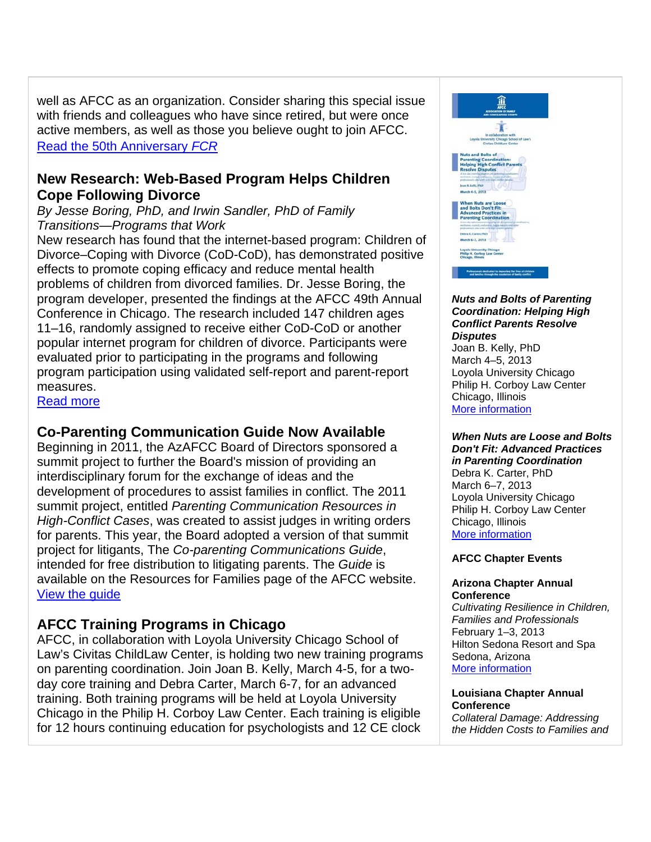well as AFCC as an organization. Consider sharing this special issue with friends and colleagues who have since retired, but were once active members, as well as those you believe ought to join AFCC. Read the 50th Anniversary *FCR*

# **New Research: Web-Based Program Helps Children Cope Following Divorce**

*By Jesse Boring, PhD, and Irwin Sandler, PhD of Family Transitions—Programs that Work* 

New research has found that the internet-based program: Children of Divorce–Coping with Divorce (CoD-CoD), has demonstrated positive effects to promote coping efficacy and reduce mental health problems of children from divorced families. Dr. Jesse Boring, the program developer, presented the findings at the AFCC 49th Annual Conference in Chicago. The research included 147 children ages 11–16, randomly assigned to receive either CoD-CoD or another popular internet program for children of divorce. Participants were evaluated prior to participating in the programs and following program participation using validated self-report and parent-report measures.

Read more

# **Co-Parenting Communication Guide Now Available**

Beginning in 2011, the AzAFCC Board of Directors sponsored a summit project to further the Board's mission of providing an interdisciplinary forum for the exchange of ideas and the development of procedures to assist families in conflict. The 2011 summit project, entitled *Parenting Communication Resources in High-Conflict Cases*, was created to assist judges in writing orders for parents. This year, the Board adopted a version of that summit project for litigants, The *Co-parenting Communications Guide*, intended for free distribution to litigating parents. The *Guide* is available on the Resources for Families page of the AFCC website. View the guide

# **AFCC Training Programs in Chicago**

AFCC, in collaboration with Loyola University Chicago School of Law's Civitas ChildLaw Center, is holding two new training programs on parenting coordination. Join Joan B. Kelly, March 4-5, for a twoday core training and Debra Carter, March 6-7, for an advanced training. Both training programs will be held at Loyola University Chicago in the Philip H. Corboy Law Center. Each training is eligible for 12 hours continuing education for psychologists and 12 CE clock



#### *Nuts and Bolts of Parenting Coordination: Helping High Conflict Parents Resolve Disputes*

Joan B. Kelly, PhD March 4–5, 2013 Loyola University Chicago Philip H. Corboy Law Center Chicago, Illinois More information

### *When Nuts are Loose and Bolts Don't Fit: Advanced Practices in Parenting Coordination*

Debra K. Carter, PhD March 6–7, 2013 Loyola University Chicago Philip H. Corboy Law Center Chicago, Illinois More information

### **AFCC Chapter Events**

### **Arizona Chapter Annual Conference**

*Cultivating Resilience in Children, Families and Professionals*  February 1–3, 2013 Hilton Sedona Resort and Spa Sedona, Arizona More information

### **Louisiana Chapter Annual Conference**

*Collateral Damage: Addressing the Hidden Costs to Families and*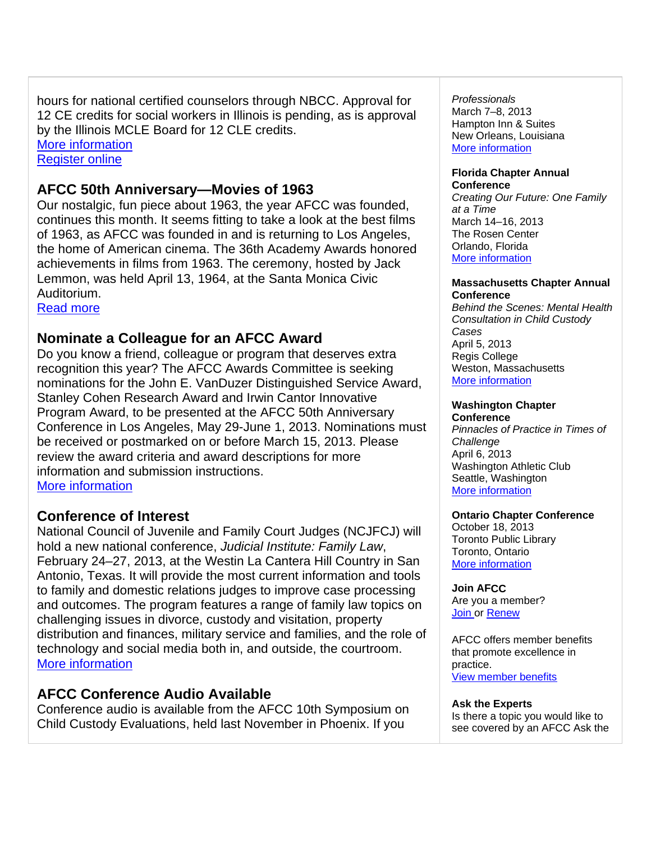hours for national certified counselors through NBCC. Approval for 12 CE credits for social workers in Illinois is pending, as is approval by the Illinois MCLE Board for 12 CLE credits. More information

Register online

# **AFCC 50th Anniversary—Movies of 1963**

Our nostalgic, fun piece about 1963, the year AFCC was founded, continues this month. It seems fitting to take a look at the best films of 1963, as AFCC was founded in and is returning to Los Angeles, the home of American cinema. The 36th Academy Awards honored achievements in films from 1963. The ceremony, hosted by Jack Lemmon, was held April 13, 1964, at the Santa Monica Civic Auditorium.

Read more

# **Nominate a Colleague for an AFCC Award**

Do you know a friend, colleague or program that deserves extra recognition this year? The AFCC Awards Committee is seeking nominations for the John E. VanDuzer Distinguished Service Award, Stanley Cohen Research Award and Irwin Cantor Innovative Program Award, to be presented at the AFCC 50th Anniversary Conference in Los Angeles, May 29-June 1, 2013. Nominations must be received or postmarked on or before March 15, 2013. Please review the award criteria and award descriptions for more information and submission instructions. More information

# **Conference of Interest**

National Council of Juvenile and Family Court Judges (NCJFCJ) will hold a new national conference, *Judicial Institute: Family Law*, February 24–27, 2013, at the Westin La Cantera Hill Country in San Antonio, Texas. It will provide the most current information and tools to family and domestic relations judges to improve case processing and outcomes. The program features a range of family law topics on challenging issues in divorce, custody and visitation, property distribution and finances, military service and families, and the role of technology and social media both in, and outside, the courtroom. More information

# **AFCC Conference Audio Available**

Conference audio is available from the AFCC 10th Symposium on Child Custody Evaluations, held last November in Phoenix. If you

*Professionals* 

March 7–8, 2013 Hampton Inn & Suites New Orleans, Louisiana More information

#### **Florida Chapter Annual Conference**

*Creating Our Future: One Family at a Time* March 14–16, 2013 The Rosen Center Orlando, Florida More information

#### **Massachusetts Chapter Annual Conference**

*Behind the Scenes: Mental Health Consultation in Child Custody Cases* April 5, 2013 Regis College Weston, Massachusetts More information

## **Washington Chapter**

**Conference** *Pinnacles of Practice in Times of Challenge* April 6, 2013 Washington Athletic Club Seattle, Washington More information

### **Ontario Chapter Conference**

October 18, 2013 Toronto Public Library Toronto, Ontario More information

### **Join AFCC**

Are you a member? Join or Renew

AFCC offers member benefits that promote excellence in practice. View member benefits

### **Ask the Experts**

Is there a topic you would like to see covered by an AFCC Ask the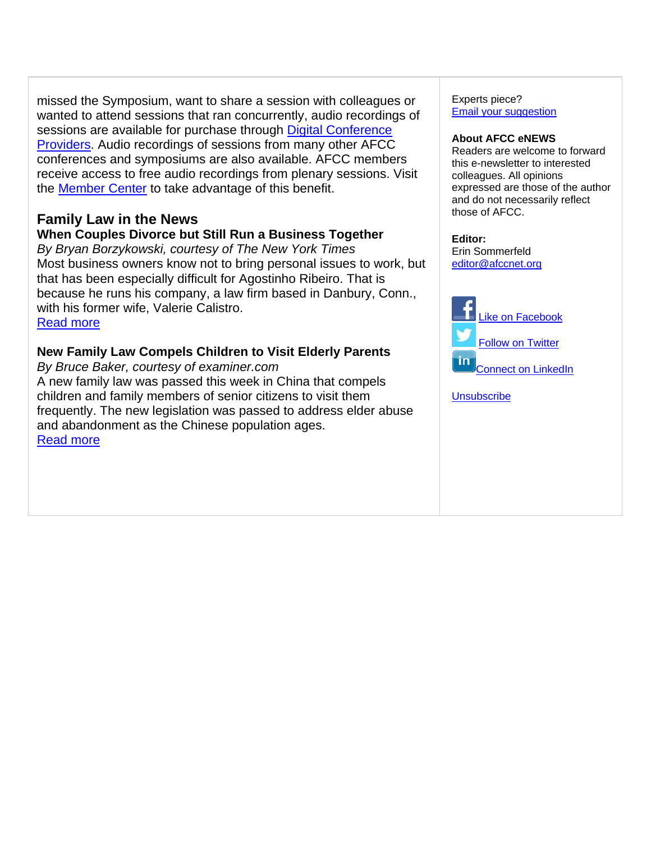missed the Symposium, want to share a session with colleagues or wanted to attend sessions that ran concurrently, audio recordings of sessions are available for purchase through Digital Conference Providers. Audio recordings of sessions from many other AFCC conferences and symposiums are also available. AFCC members receive access to free audio recordings from plenary sessions. Visit the Member Center to take advantage of this benefit.

# **Family Law in the News**

# **When Couples Divorce but Still Run a Business Together**

*By Bryan Borzykowski, courtesy of The New York Times* Most business owners know not to bring personal issues to work, but that has been especially difficult for Agostinho Ribeiro. That is because he runs his company, a law firm based in Danbury, Conn., with his former wife, Valerie Calistro. Read more

# **New Family Law Compels Children to Visit Elderly Parents**

*By Bruce Baker, courtesy of examiner.com* A new family law was passed this week in China that compels children and family members of senior citizens to visit them frequently. The new legislation was passed to address elder abuse and abandonment as the Chinese population ages. Read more

Experts piece? Email your suggestion

#### **About AFCC eNEWS**

Readers are welcome to forward this e-newsletter to interested colleagues. All opinions expressed are those of the author and do not necessarily reflect those of AFCC.

### **Editor:**

Erin Sommerfeld editor@afccnet.org



**Unsubscribe**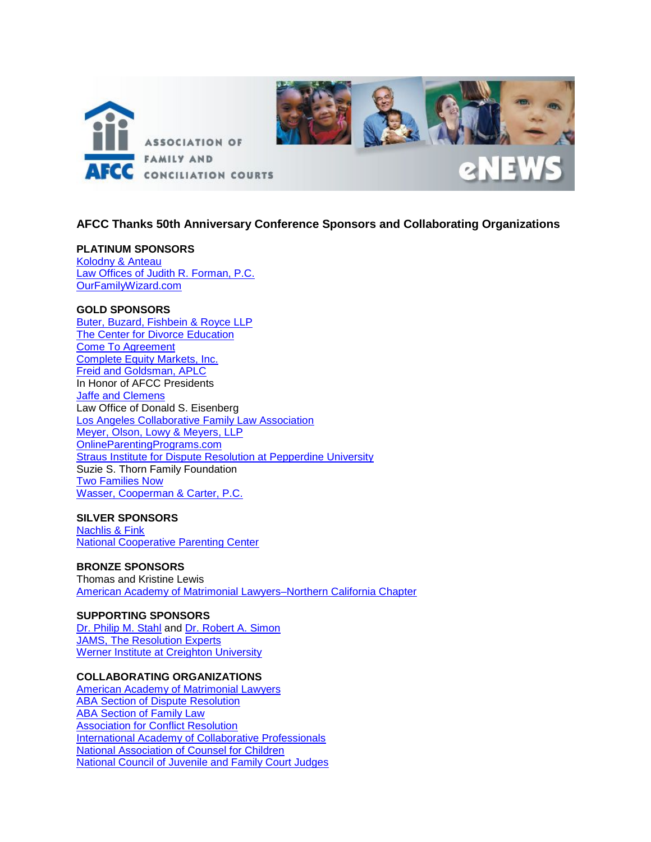

### **AFCC Thanks 50th Anniversary Conference Sponsors and Collaborating Organizations**

#### **PLATINUM SPONSORS**

[Kolodny & Anteau](http://www.kolodny-anteau.com/) [Law Offices of Judith R. Forman, P.C.](http://www.familylawcounsel.com/) [OurFamilyWizard.com](http://ourfamilywizard.com/ofw/)

#### **GOLD SPONSORS**

[Buter, Buzard, Fishbein & Royce LLP](http://www.bbfrlaw.com/) [The Center for Divorce Education](http://www.divorce-education.com/) [Come To Agreement](http://www.cometoagreement.com/) [Complete Equity Markets, Inc.](http://www.cemins.com/) Freid [and Goldsman, APLC](http://www.fglegal.com/) In Honor of AFCC Presidents [Jaffe and Clemens](http://jaffeclemens.com/) Law Office of Donald S. Eisenberg [Los Angeles Collaborative Family Law Association](http://www.lacfla.org/) [Meyer, Olson, Lowy & Meyers, LLP](http://molfamlaw.com/) OnlineParentingPrograms.com [Straus Institute for Dispute Resolution at Pepperdine University](http://law.pepperdine.edu/straus/) Suzie S. Thorn Family Foundation [Two Families Now](https://www.irised.com/two_families_now)  [Wasser, Cooperman & Carter, P.C.](http://www.wccfamilylaw.com/)

#### **SILVER SPONSORS**

[Nachlis & Fink](http://nachlisfinklaw.com/) [National Cooperative Parenting Center](http://www.thencpc.com/)

#### **BRONZE SPONSORS**

Thomas and Kristine Lewis [American Academy of Matrimonial Lawyers–Northern California Chapter](http://www.aamlnocal.com/)

#### **SUPPORTING SPONSORS** [Dr. Philip M. Stahl](http://parentingafterdivorce.com/) and [Dr. Robert A. Simon](http://www.dr-simon.com/) [JAMS, The Resolution Experts](http://www.jamsadr.com/) [Werner Institute at Creighton University](http://www.creighton.edu/werner/)

#### **COLLABORATING ORGANIZATIONS**

[American Academy of Matrimonial Lawyers](http://www.aaml.org/) [ABA Section of Dispute Resolution](http://www.americanbar.org/groups/dispute_resolution.html) **ABA Section of Family Law** [Association for Conflict Resolution](http://www.acrnet.org/) [International Academy of Collaborative Professionals](http://www.collaborativepractice.com/) [National Association of Counsel for Children](http://www.naccchildlaw.org/) [National Council of Juvenile and Family Court Judges](http://www.ncjfcj.org/)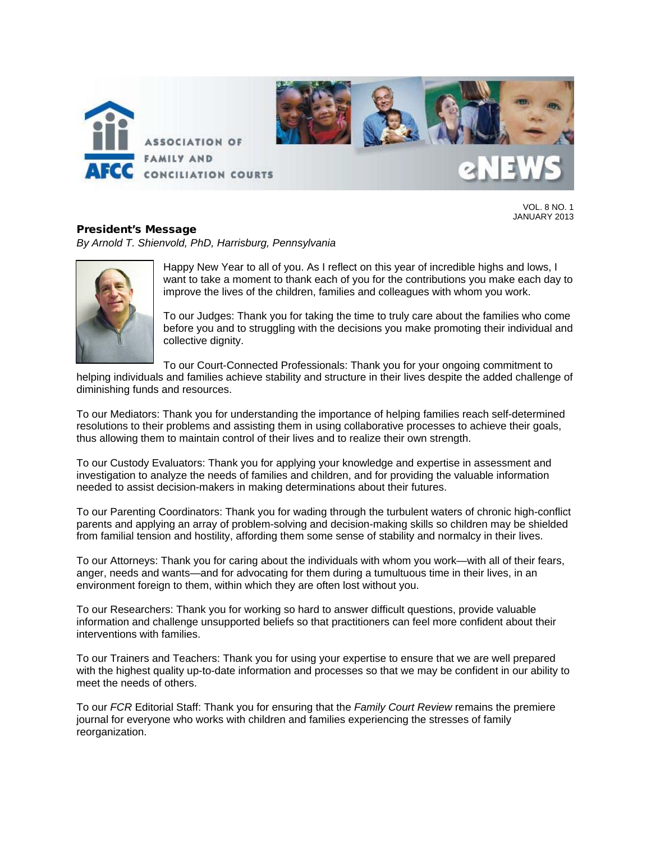

VOL. 8 NO. 1 JANUARY 2013

# President's Message

*By Arnold T. Shienvold, PhD, Harrisburg, Pennsylvania* 



Happy New Year to all of you. As I reflect on this year of incredible highs and lows, I want to take a moment to thank each of you for the contributions you make each day to improve the lives of the children, families and colleagues with whom you work.

To our Judges: Thank you for taking the time to truly care about the families who come before you and to struggling with the decisions you make promoting their individual and collective dignity.

To our Court-Connected Professionals: Thank you for your ongoing commitment to

helping individuals and families achieve stability and structure in their lives despite the added challenge of diminishing funds and resources.

To our Mediators: Thank you for understanding the importance of helping families reach self-determined resolutions to their problems and assisting them in using collaborative processes to achieve their goals, thus allowing them to maintain control of their lives and to realize their own strength.

To our Custody Evaluators: Thank you for applying your knowledge and expertise in assessment and investigation to analyze the needs of families and children, and for providing the valuable information needed to assist decision-makers in making determinations about their futures.

To our Parenting Coordinators: Thank you for wading through the turbulent waters of chronic high-conflict parents and applying an array of problem-solving and decision-making skills so children may be shielded from familial tension and hostility, affording them some sense of stability and normalcy in their lives.

To our Attorneys: Thank you for caring about the individuals with whom you work—with all of their fears, anger, needs and wants—and for advocating for them during a tumultuous time in their lives, in an environment foreign to them, within which they are often lost without you.

To our Researchers: Thank you for working so hard to answer difficult questions, provide valuable information and challenge unsupported beliefs so that practitioners can feel more confident about their interventions with families.

To our Trainers and Teachers: Thank you for using your expertise to ensure that we are well prepared with the highest quality up-to-date information and processes so that we may be confident in our ability to meet the needs of others.

To our *FCR* Editorial Staff: Thank you for ensuring that the *Family Court Review* remains the premiere journal for everyone who works with children and families experiencing the stresses of family reorganization.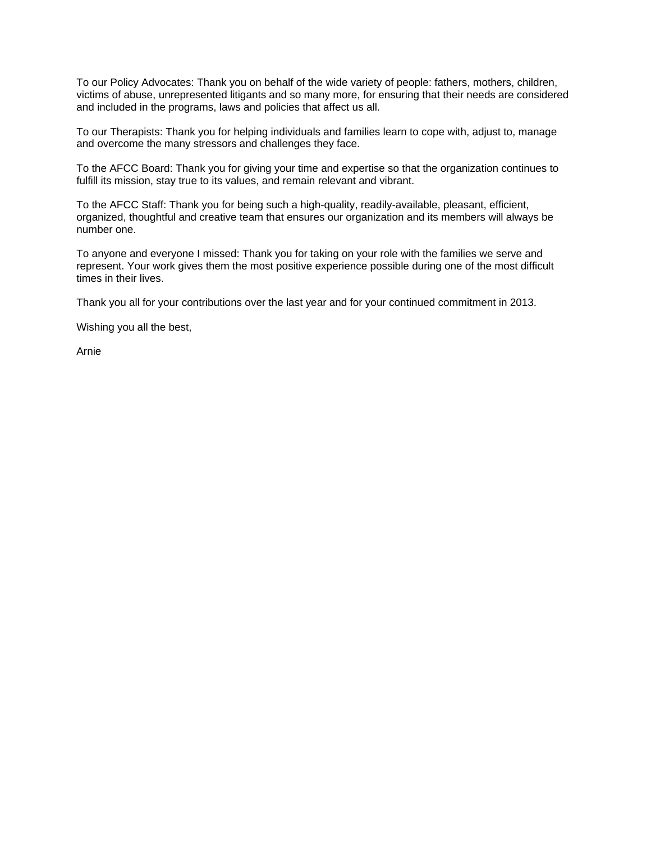To our Policy Advocates: Thank you on behalf of the wide variety of people: fathers, mothers, children, victims of abuse, unrepresented litigants and so many more, for ensuring that their needs are considered and included in the programs, laws and policies that affect us all.

To our Therapists: Thank you for helping individuals and families learn to cope with, adjust to, manage and overcome the many stressors and challenges they face.

To the AFCC Board: Thank you for giving your time and expertise so that the organization continues to fulfill its mission, stay true to its values, and remain relevant and vibrant.

To the AFCC Staff: Thank you for being such a high-quality, readily-available, pleasant, efficient, organized, thoughtful and creative team that ensures our organization and its members will always be number one.

To anyone and everyone I missed: Thank you for taking on your role with the families we serve and represent. Your work gives them the most positive experience possible during one of the most difficult times in their lives.

Thank you all for your contributions over the last year and for your continued commitment in 2013.

Wishing you all the best,

Arnie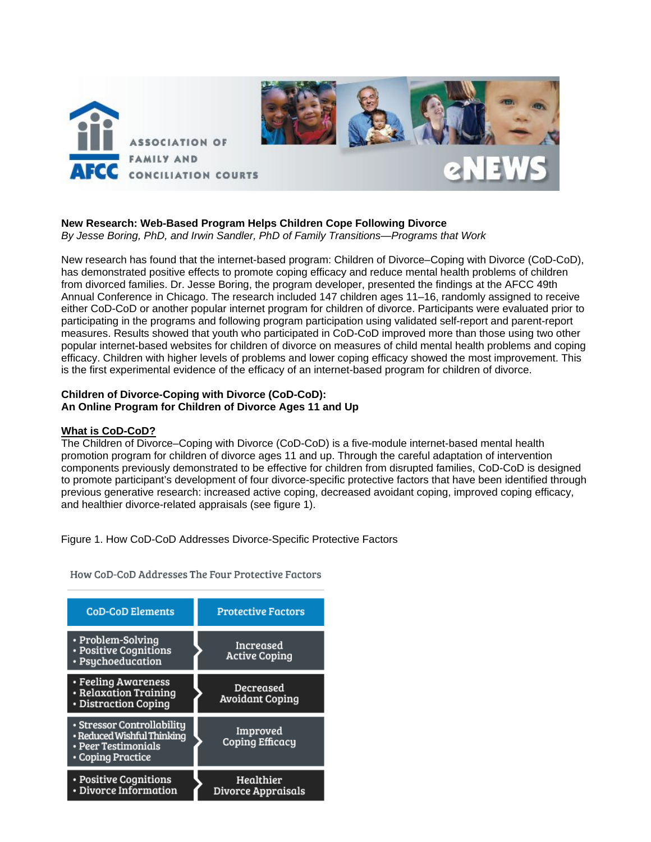

#### **New Research: Web-Based Program Helps Children Cope Following Divorce** *By Jesse Boring, PhD, and Irwin Sandler, PhD of Family Transitions—Programs that Work*

New research has found that the internet-based program: Children of Divorce–Coping with Divorce (CoD-CoD), has demonstrated positive effects to promote coping efficacy and reduce mental health problems of children from divorced families. Dr. Jesse Boring, the program developer, presented the findings at the AFCC 49th Annual Conference in Chicago. The research included 147 children ages 11–16, randomly assigned to receive either CoD-CoD or another popular internet program for children of divorce. Participants were evaluated prior to participating in the programs and following program participation using validated self-report and parent-report measures. Results showed that youth who participated in CoD-CoD improved more than those using two other popular internet-based websites for children of divorce on measures of child mental health problems and coping efficacy. Children with higher levels of problems and lower coping efficacy showed the most improvement. This is the first experimental evidence of the efficacy of an internet-based program for children of divorce.

### **Children of Divorce-Coping with Divorce (CoD-CoD): An Online Program for Children of Divorce Ages 11 and Up**

### **What is CoD-CoD?**

The Children of Divorce–Coping with Divorce (CoD-CoD) is a five-module internet-based mental health promotion program for children of divorce ages 11 and up. Through the careful adaptation of intervention components previously demonstrated to be effective for children from disrupted families, CoD-CoD is designed to promote participant's development of four divorce-specific protective factors that have been identified through previous generative research: increased active coping, decreased avoidant coping, improved coping efficacy, and healthier divorce-related appraisals (see figure 1).

Figure 1. How CoD-CoD Addresses Divorce-Specific Protective Factors

How CoD-CoD Addresses The Four Protective Factors

| <b>CoD-CoD Elements</b>                                                                              | <b>Protective Factors</b>           |
|------------------------------------------------------------------------------------------------------|-------------------------------------|
| • Problem-Solving<br>• Positive Cognitions<br>• Psychoeducation                                      | Increased<br><b>Active Coping</b>   |
| • Feeling Awareness<br>• Relaxation Training<br>• Distraction Coping                                 | Decreased<br><b>Avoidant Coping</b> |
| • Stressor Controllability<br>• Reduced Wishful Thinking<br>• Peer Testimonials<br>• Coping Practice | Improved<br>Coping Efficacu         |
| • Positive Cognitions<br>• Divorce Information                                                       | Healthier<br>Divorce Appraisals     |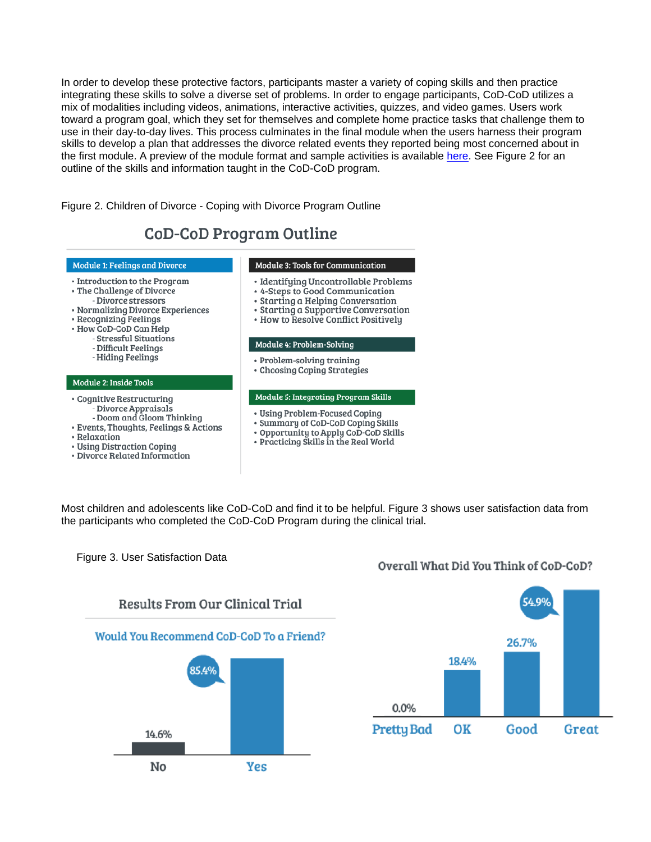In order to develop these protective factors, participants master a variety of coping skills and then practice integrating these skills to solve a diverse set of problems. In order to engage participants, CoD-CoD utilizes a mix of modalities including videos, animations, interactive activities, quizzes, and video games. Users work toward a program goal, which they set for themselves and complete home practice tasks that challenge them to use in their day-to-day lives. This process culminates in the final module when the users harness their program skills to develop a plan that addresses the divorce related events they reported being most concerned about in the first module. A preview of the module format and sample activities is available [here.](http://familytransitions-ptw.com/CoDCoD/SampleModOut.php) See Figure 2 for an outline of the skills and information taught in the CoD-CoD program.

Figure 2. Children of Divorce - Coping with Divorce Program Outline

# **CoD-CoD Program Outline**

#### Module 1: Feelings and Divorce

- · Introduction to the Program
- · The Challenge of Divorce
- Divorce stressors
- · Normalizing Divorce Experiences
- Recognizing Feelings
- · How CoD-CoD Can Help
	- Stressful Situations
	- Difficult Feelings
	- Hiding Feelings

#### Module 2: Inside Tools

- · Cognitive Restructuring
	- Divorce Appraisals
- Doom and Gloom Thinking
- · Events, Thoughts, Feelings & Actions
- Relaxation
- · Using Distraction Coping
- · Divorce Related Information
- Module 3: Tools for Communication
- · Identifying Uncontrollable Problems
- · 4-Steps to Good Communication
- · Starting a Helping Conversation
- Starting a Supportive Conversation
- How to Resolve Conflict Positively

#### Module 4: Problem-Solving

- Problem-solving training
- Choosing Coping Strategies

#### Module 5: Integrating Program Skills

- Using Problem-Focused Coping
- Summary of CoD-CoD Coping Skills
- Opportunity to Apply CoD-CoD Skills
- Practicing Skills in the Real World

Most children and adolescents like CoD-CoD and find it to be helpful. Figure 3 shows user satisfaction data from the participants who completed the CoD-CoD Program during the clinical trial.

Figure 3. User Satisfaction Data